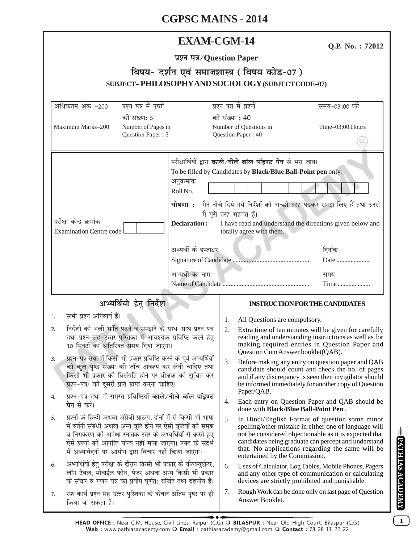# **EXAM-CGM-14**

Q.P. No.: 72012

# विषय- दर्शन एवं समाजशास्त्र (विषय कोड-07) SUBJECT-PHILOSOPHY AND SOCIOLOGY (SUBJECT CODE-07)

| अधिकतम अंक -200                                                                                                                                                                                                                                                                                                                                                                                                                                               | प्रश्न पत्र में पृष्ठों                                                         |                        | प्रश्न पत्र में प्रश्नों                                                                                                                                                                                                                                                                                        | समय-03:00 घंटे   |
|---------------------------------------------------------------------------------------------------------------------------------------------------------------------------------------------------------------------------------------------------------------------------------------------------------------------------------------------------------------------------------------------------------------------------------------------------------------|---------------------------------------------------------------------------------|------------------------|-----------------------------------------------------------------------------------------------------------------------------------------------------------------------------------------------------------------------------------------------------------------------------------------------------------------|------------------|
| Maximum Marks-200                                                                                                                                                                                                                                                                                                                                                                                                                                             | की संख्या: 5<br>Number of Pages in<br>Question Paper: 5                         |                        | की संख्या : 40<br>Number of Questions in<br>Question Paper: 40                                                                                                                                                                                                                                                  | Time-03:00 Hours |
| परीक्षा केन्द्र क्रमांक<br><b>Examination Centre code</b>                                                                                                                                                                                                                                                                                                                                                                                                     | अनुक्रमांक<br>Roll No.<br><b>Declaration:</b><br>अभ्यर्थी के हस्ताक्षर          | मैं पूरी तरह सहमत हूँ। | परीक्षार्थियों द्वारा काले/नीले बॉल पॉइण्ट पेन से भरा जाय।<br>To be filled by Candidates by Black/Blue Ball-Point pen only.<br>घोषणा : मैने नीचे दिये गये निर्देशों को अच्छी तरह पढ़कर समझ लिए हैं तथा उनसे<br>I have read and understand the directions given below and<br>totally agree with them.            | दिनांक           |
| अभ्यर्थी का नाम                                                                                                                                                                                                                                                                                                                                                                                                                                               |                                                                                 |                        |                                                                                                                                                                                                                                                                                                                 | समय<br>Time      |
|                                                                                                                                                                                                                                                                                                                                                                                                                                                               | अभ्यर्थियों हेतु निर्देश                                                        |                        | <b>INSTRUCTION FOR THE CANDIDATES</b>                                                                                                                                                                                                                                                                           |                  |
| सभी प्रश्न अनिवार्य हैं।<br>1.<br>निर्देशों को भली भांति पढ़ने व समझने के साथ-साथ प्रश्न पत्र<br>2.<br>तथा प्रश्न-सह-उत्तर पुस्तिका में आवश्यक प्रविष्टि करने हेतु<br>10 मिनटों का अतिरिक्त समय दिया जाएगा।<br>प्रश्न-पत्र तथा में किसी भी प्रकार प्रविष्टि करने के पूर्व अभ्यर्थियों<br>3.<br>को कुल पृष्ठ संख्या की जॉंच अवश्य कर लेनी चाहिए तथा<br>किसी भी प्रकार की विसंगति होने पर वीक्षक को सूचित कर<br>प्रश्न-पत्र/ की दूसरी प्रति प्राप्त करना चाहिए। |                                                                                 | 1.<br>2.               | All Questions are compulsory.<br>Extra time of ten minutes will be given for carefully<br>reading and understanding instructions as well as for<br>making required entries in Question Paper and<br>Question Cum Answer booklet(QAB).                                                                           |                  |
|                                                                                                                                                                                                                                                                                                                                                                                                                                                               |                                                                                 | 3.                     | Before making any entry on question paper and QAB<br>candidate should count and check the no. of pages<br>and if any discrepancy is seen then invigilator should<br>be informed immediately for another copy of Question<br>Paper/QAB.                                                                          |                  |
| प्रश्न-पत्र तथा में समस्त प्रविष्टियाँ <b>काले नीचे बॉल पॉइण्ट</b><br>4.<br><b>पेन</b> से करें।                                                                                                                                                                                                                                                                                                                                                               |                                                                                 | 4.                     | Each entry on Question Paper and QAB should be<br>done with <b>Black/Blue Ball-Point Pen</b> .                                                                                                                                                                                                                  |                  |
| प्रश्नों के हिन्दी अथवा अंग्रेजी प्रारूप, दोनों में से किसी भी भाषा<br>5.<br>में वर्तनी संबंधी अथवा अन्य त्रुटि होने पर ऐसी त्रुटियों की समझ<br>व निराकरण की अपेक्षा स्नातक स्तर के अभ्यर्थियों से करते हुए<br>ऐसे प्रश्नों को आपत्ति योग्य नहीं माना जाएगा। उक्त के संदर्भ<br>में अभ्यावेदनों पर आयोग द्वारा विचार नहीं किया जाएगा।                                                                                                                          |                                                                                 | 5.                     | In Hindi/English Format of question some minor<br>spelling/other mistake in either one of language will<br>not be considered objectionable as it is expected that<br>candidates being graduate can percept and understand<br>that. No applications regarding the same will be<br>entertained by the Commission. |                  |
| अभ्यर्थियों हेतु परीक्षा के दौरान किसी भी प्रकार के कैल्क्युलेटर,<br>लॉग टेबल, मोबाईल फोन, पेजर अथवा अन्य किसी भी प्रकार<br>के संचार व गणन यंत्र का प्रयोग पूर्णत: वर्जित तथा दंडनीय है।                                                                                                                                                                                                                                                                      |                                                                                 | 6.                     | Uses of Calculator, Log Tables, Mobile Phones, Pagers<br>and any other type of communication or calculating<br>devices are strictly prohibited and punishable.                                                                                                                                                  |                  |
| 7.                                                                                                                                                                                                                                                                                                                                                                                                                                                            | रफ कार्य प्रश्न सह उत्तर पुस्तिका के केवल अंतिम पृष्ठ पर ही<br>किया जा सकता है। |                        | Rough Work can be done only on last page of Question<br>Answer Booklet.                                                                                                                                                                                                                                         |                  |

**PATH IAS ACADEMY** 

 $\overline{1}$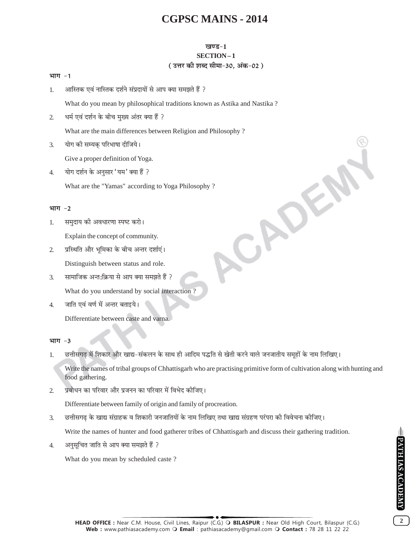### खण्ड-1 SECTION-1 (उत्तर की शब्द सीमा-30. अंक-02)

#### भाग -1

आस्तिक एवं नास्तिक दर्शने संप्रदायों से आप क्या समझते हैं ? 1.

What do you mean by philosophical traditions known as Astika and Nastika?

धर्म एवं दर्शन के बीच मुख्य अंतर क्या हैं ?  $\overline{2}$ 

What are the main differences between Religion and Philosophy?

योग की सम्यक् परिभाषा दीजिये।  $\overline{3}$ .

Give a proper definition of Yoga.

योग दर्शन के अनुसार 'यम' क्या हैं ?  $\overline{4}$ . What are the "Yamas" according to Yoga Philosophy?

#### भाग -2

समुदाय की अवधारणा स्पष्ट करो। 1.

Explain the concept of community.

- $\overline{2}$ प्रस्थिति और भूमिका के बीच अन्तर दर्शाएं। Distinguish between status and role.
- सामाजिक अन्त:क्रिया से आप क्या समझते हैं ? 3. What do you understand by social interaction?
- जाति एवं वर्ण में अन्तर बताइये।  $\overline{4}$

Differentiate between caste and varna.

#### भाग -3

छत्तीसगढ में शिकार और खाद्य–संकलन के साथ ही आदिम पद्भति से खेती करने वाले जनजातीय समृहों के नाम लिखिए।  $1.$ 

Write the names of tribal groups of Chhattisgarh who are practising primitive form of cultivation along with hunting and food gathering.

CADES

प्रबोधन का परिवार और प्रजनन का परिवार में विभेद कीजिए।  $\overline{2}$ 

Differentiate between family of origin and family of procreation.

छत्तीसगढ के खाद्य संग्राहक व शिकारी जनजातियों के नाम लिखिए तथा खाद्य संग्रहण परंपरा की विवेचना कीजिए।  $\overline{3}$ .

Write the names of hunter and food gatherer tribes of Chhattisgarh and discuss their gathering tradition.

अनुसूचित जाति से आप क्या समझते हैं ?  $\overline{4}$ .

What do you mean by scheduled caste?

 $\overline{2}$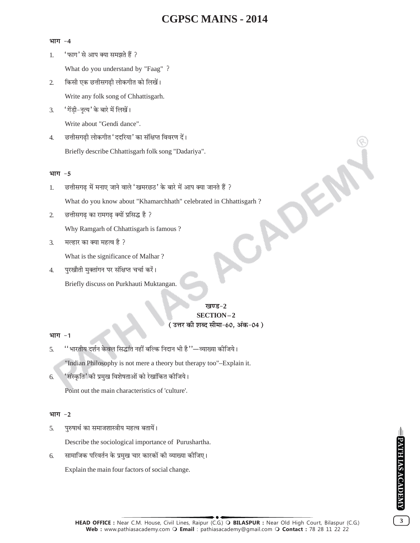#### भाग -4

1. 'फाग' से आप क्या समझते हैं ?

What do you understand by "Faag" ?

- 2. किसी एक छत्तीसगढी लोकगीत को लिखें। Write any folk song of Chhattisgarh.
- 3. 'गेंडी-नृत्य' के बारे में लिखें।

Write about "Gendi dance".

4. ङिलीसगढी लोकगीत 'ददरिया' का संक्षिप्त विवरण दें। Briefly describe Chhattisgarh folk song "Dadariya".

### भाग -5

1. छत्तीसगढ में मनाए जाने वाले 'खमरछठ' के बारे में आप क्या जानते हैं ?

What do you know about "Khamarchhath" celebrated in Chhattisgarh ?

- 2. छत्तीसगढ़ का रामगढ़ क्यों प्रसिद्ध है ? Why Ramgarh of Chhattisgarh is famous ?
- 3. मल्हार का क्या महत्व है ?

What is the significance of Malhar ?

4. परखौती मुक्तांगन पर संक्षिप्त चर्चा करें।

Briefly discuss on Purkhauti Muktangan.

### खण्ड-2 **SECTION – 2** ( उत्तर की शब्द सीमा-60, अंक-04 )

#### भाग -1

5. " भारतीय दर्शन केवल सिद्धांत नहीं बल्कि निदान भी है ''—व्याख्या कीजिये।

"Indian Philosophy is not mere a theory but therapy too"–Explain it.

 $6.$   $^{\prime}$  संस्कृति' की प्रमुख विशेषताओं को रेखांकित कीजिये।

Point out the main characteristics of 'culture'.

### भाग -2

5. पुरुषार्थ का समाजशास्त्रीय महत्व बतायें।

Describe the sociological importance of Purushartha.

6. सामाजिक परिवर्तन के प्रमुख चार कारकों की व्याख्या कीजिए।

Explain the main four factors of social change.

**3**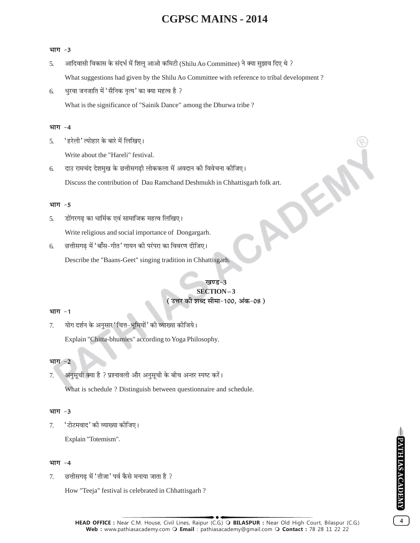#### भाग -3

- आदिवासी विकास के संदर्भ में शिल आओ कमिटी (Shilu Ao Committee) ने क्या सझाव दिए थे ?  $\overline{5}$ . What suggestions had given by the Shilu Ao Committee with reference to tribal development?
- धुरवा जनजाति में 'सैनिक नृत्य' का क्या महत्व है ? 6. What is the significance of "Sainik Dance" among the Dhurwa tribe?

#### भाग -4

'हरेली' त्योहार के बारे में लिखिए।  $\overline{5}$ .

Write about the "Hareli" festival.

दाउ रामचंद देशमख के छत्तीसगढी लोककला में अवदान की विवेचना कीजिए। 6.

Discuss the contribution of Dau Ramchand Deshmukh in Chhattisgarh folk art. OF

#### भाग -5

- 5. डोंगरगढ़ का धार्मिक एवं सामाजिक महत्व लिखिए। Write religious and social importance of Dongargarh.
- छत्तीसगढ में 'बाँस–गीत' गायन की परंपरा का विवरण दीजिए। 6.

Describe the "Baans-Geet" singing tradition in Chhattisgarh.

### खण्ड-3 **SECTION-3** (उत्तर की शब्द सीमा-100, अंक-08)

#### भाग $-1$

योग दर्शन के अनुसार 'चित्त-भूमियों' की व्याख्या कीजिये। 7.

Explain "Chitta-bhumies" according to Yoga Philosophy.

#### भाग -2

अनुसूची क्या है ? प्रश्नावली और अनुसूची के बीच अन्तर स्पष्ट करें। 7. What is schedule? Distinguish between questionnaire and schedule.

#### भाग -3

'टोटमवाद' की व्याख्या कीजिए। 7.

Explain "Totemism".

#### भाग -4

छत्तीसगढ में 'तीजा' पर्व कैसे मनाया जाता है ?  $7<sub>1</sub>$ 

How "Teeja" festival is celebrated in Chhattisgarh?

 $\overline{\mathbf{4}}$